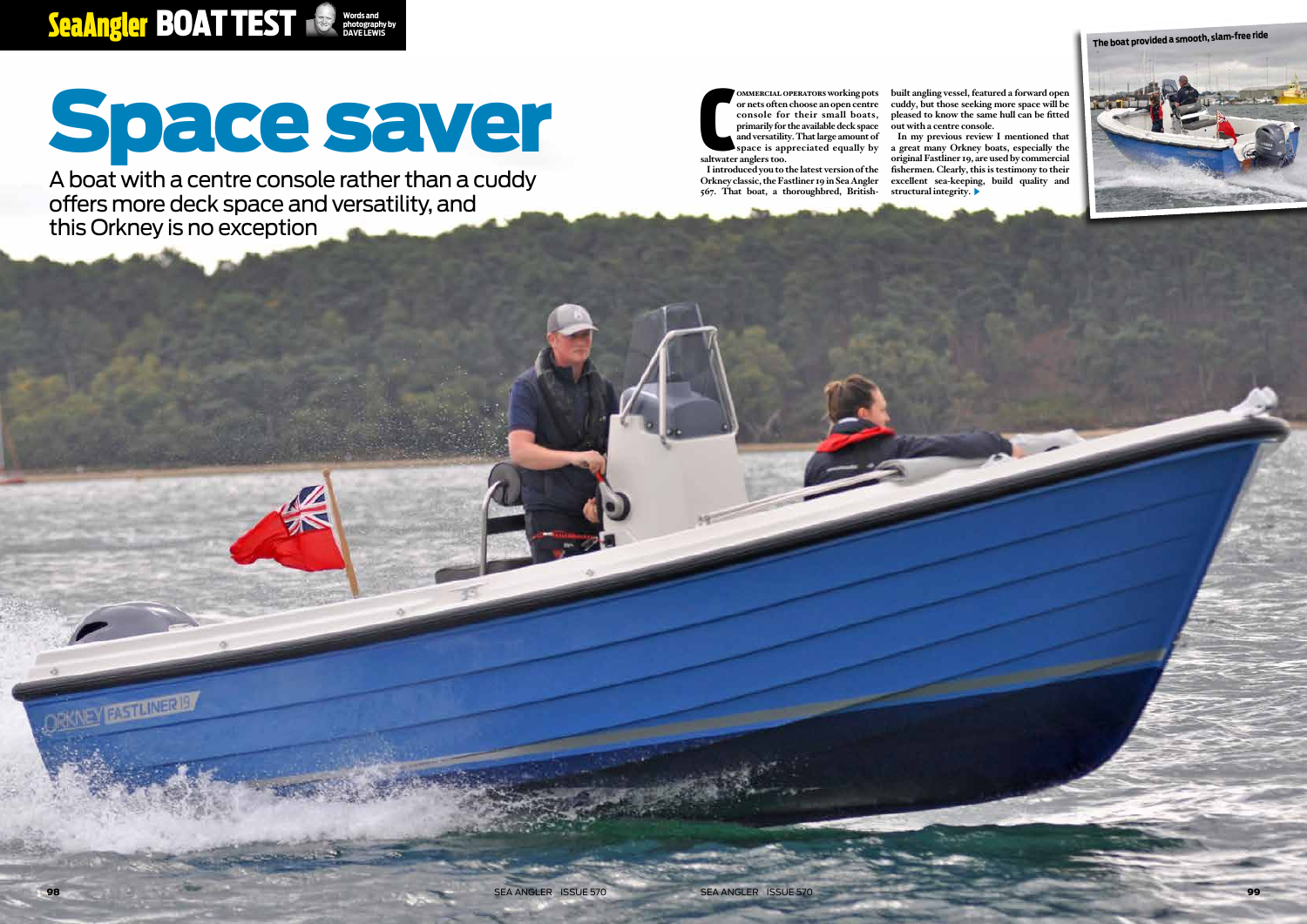98 sea Angler issue 570 sea Angler issue 570 99

ORKNEY RESIDING BY

#### Sea Angler BOAT TEST **photography by DAVE LEWIS**

# Space saver

A boat with a centre console rather than a cuddy offers more deck space and versatility, and this Orkney is no exception

**OMMERCIAL C**<br>
or nets often<br>
console fo<br>
primarily for<br>
and versatility<br>
space is ap<br>
saltwater anglers too. **ommercial operators working pots or nets often choose an open centre console for their small boats, primarily for the available deck space and versatility. That large amount of space is appreciated equally by** 

**I introduced you to the latest version of the Orkney classic, the Fastliner 19 in Sea Angler 567. That boat, a thoroughbred, British-**

**built angling vessel, featured a forward open cuddy, but those seeking more space will be pleased to know the same hull can be fitted out with a centre console. In my previous review I mentioned that a great many Orkney boats, especially the original Fastliner 19, are used by commercial fishermen. Clearly, this is testimony to their excellent sea-keeping, build quality and structural integrity.**